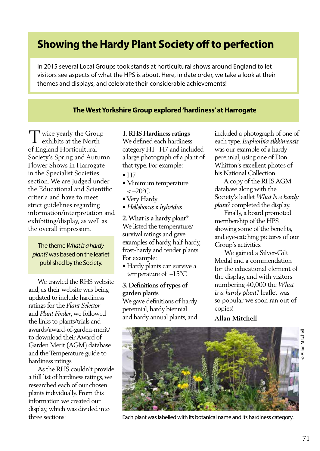# **Showing the Hardy Plant Society off to perfection**

In 2015 several Local Groups took stands at horticultural shows around England to let visitors see aspects of what the HPS is about. Here, in date order, we take a look at their themes and displays, and celebrate their considerable achievements!

## **The West Yorkshire Group explored 'hardiness' at Harrogate**

wice yearly the Group Twice yearly the Group of England Horticultural Society's Spring and Autumn Flower Shows in Harrogate in the Specialist Societies section. We are judged under the Educational and Scientific criteria and have to meet strict guidelines regarding information/interpretation and exhibiting/display, as well as the overall impression.

# The theme *What Is a hardy plant*? was based on the leaflet published by the Society.

 We trawled the RHS website and, as their website was being updated to include hardiness ratings for the *Plant Selector* and *Plant Finder*, we followed the links to plants/trials and awards/award-of-garden-merit/ to download their Award of Garden Merit (AGM) database and the Temperature guide to hardiness ratings.

 As the RHS couldn't provide a full list of hardiness ratings, we researched each of our chosen plants individually. From this information we created our display, which was divided into

#### **1. RHS Hardiness ratings**

We defined each hardiness category H1– H7 and included a large photograph of a plant of that type. For example:

- $\bullet$  H7
- Minimum temperature  $<-20^{\circ}$ C
- Very Hardy
- *Helleborus* x *hybridu*s

**2. What is a hardy plant?** We listed the temperature/ survival ratings and gave examples of hardy, half-hardy, frost-hardy and tender plants. For example:

• Hardy plants can survive a temperature of –15°C

## **3. Definitions of types of garden plants**

We gave definitions of hardy perennial, hardy biennial and hardy annual plants, and included a photograph of one of each type. *Euphorbia sikkimensis*  was our example of a hardy perennial, using one of Don Whitton's excellent photos of his National Collection.

 A copy of the RHS AGM database along with the Society's leaflet *What Is a hardy plant?* completed the display.

 Finally, a board promoted membership of the HPS, showing some of the benefits, and eye-catching pictures of our Group's activities.

 We gained a Silver-Gilt Medal and a commendation for the educational element of the display, and with visitors numbering 40,000 the *What is a hardy plant?* leaflet was so popular we soon ran out of copies!

**Allan Mitchell** 



three sections: Each plant was labelled with its botanical name and its hardiness category.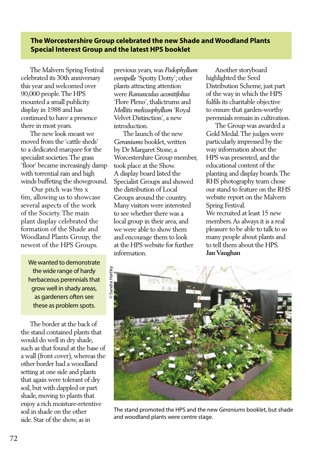# **The Worcestershire Group celebrated the new Shade and Woodland Plants Special Interest Group and the latest HPS booklet**

 The Malvern Spring Festival celebrated its 30th anniversary this year and welcomed over 90,000 people. The HPS mounted a small publicity display in 1988 and has continued to have a presence there in most years.

 The new look meant we moved from the 'cattle sheds' to a dedicated marquee for the specialist societies. The grass 'floor' became increasingly damp with torrential rain and high winds buffeting the showground.

 Our pitch was 9m x 6m, allowing us to showcase several aspects of the work of the Society. The main plant display celebrated the formation of the Shade and Woodland Plants Group, the newest of the HPS Groups.

We wanted to demonstrate the wide range of hardy herbaceous perennials that grow well in shady areas, as gardeners often see these as problem spots.

 The border at the back of the stand contained plants that would do well in dry shade, such as that found at the base of a wall (front cover), whereas the other border had a woodland setting at one side and plants that again were tolerant of dry soil, but with dappled or part shade, moving to plants that enjoy a rich moisture-retentive soil in shade on the other side. Star of the show, as in

previous years, was *Podophyllum versipelle* 'Spotty Dotty'; other plants attracting attention were *Ranunculus aconitifolius*  'Flore Pleno', thalictrums and *Mellitis melissophyllum* 'Royal Velvet Distinction', a new introduction.

 The launch of the new *Geraniums* booklet, written by Dr Margaret Stone, a Worcestershire Group member, took place at the Show. A display board listed the Specialist Groups and showed the distribution of Local Groups around the country. Many visitors were interested to see whether there was a local group in their area, and we were able to show them and encourage them to look at the HPS website for further information.

 Another storyboard highlighted the Seed Distribution Scheme, just part of the way in which the HPS fulfils its charitable objective to ensure that garden-worthy perennials remain in cultivation.

 The Group was awarded a Gold Medal. The judges were particularly impressed by the way information about the HPS was presented, and the educational content of the planting and display boards. The RHS photography team chose our stand to feature on the RHS website report on the Malvern Spring Festival.

We recruited at least 15 new members. As always it is a real pleasure to be able to talk to so many people about plants and to tell them about the HPS. **Jan Vaughan** 



The stand promoted the HPS and the new *Geraniums* booklet, but shade and woodland plants were centre stage.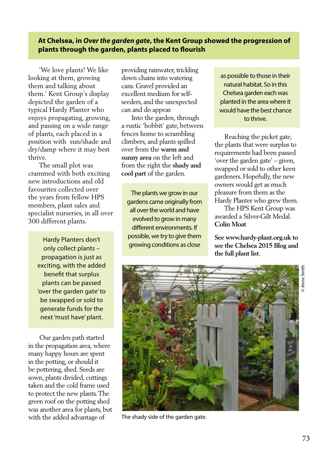# **At Chelsea, in** *Over the garden gate***, the Kent Group showed the progression of plants through the garden, plants placed to flourish**

 'We love plants! We like looking at them, growing them and talking about them.' Kent Group's display depicted the garden of a typical Hardy Planter who enjoys propagating, growing, and passing on a wide range of plants, each placed in a position with sun/shade and dry/damp where it may best thrive.

 The small plot was crammed with both exciting new introductions and old favourites collected over the years from fellow HPS members, plant sales and specialist nurseries, in all over 300 different plants.

> Hardy Planters don't only collect plants – propagation is just as exciting, with the added benefit that surplus plants can be passed 'over the garden gate' to be swapped or sold to generate funds for the next 'must have' plant.

 Our garden path started in the propagation area, where many happy hours are spent in the potting, or should it be pottering, shed. Seeds are sown, plants divided, cuttings taken and the cold frame used to protect the new plants. The green roof on the potting shed was another area for plants, but with the added advantage of

providing rainwater, trickling down chains into watering cans. Gravel provided an excellent medium for selfseeders, and the unexpected can and do appear.

 Into the garden, through a rustic 'hobbit' gate, between fences home to scrambling climbers, and plants spilled over from the **warm and sunny area** on the left and from the right the **shady and cool part** of the garden.

The plants we grow in our gardens came originally from all over the world and have evolved to grow in many different environments. If possible, we try to give them growing conditions as close

as possible to those in their natural habitat. So in this Chelsea garden each was planted in the area where it would have the best chance to thrive.

 Reaching the picket gate, the plants that were surplus to requirements had been passed 'over the garden gate' – given, swapped or sold to other keen gardeners. Hopefully, the new owners would get as much pleasure from them as the Hardy Planter who grew them.

 The HPS Kent Group was awarded a Silver-Gilt Medal. **Colin Moat** 

**See www.hardy-plant.org.uk to see the Chelsea 2015 Blog and the full plant list**.



The shady side of the garden gate.